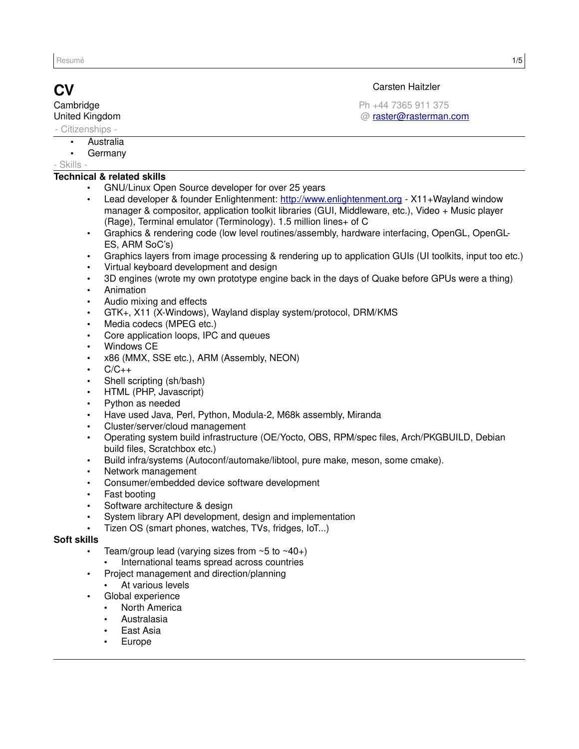**Cambridge** United Kingdom

- Citizenships -

- Australia
- **Germany**
- Skills -

# **Technical & related skills**

- GNU/Linux Open Source developer for over 25 years
- Lead developer & founder Enlightenment: [http://www.enlightenment.org](http://www.enlightenment.org/)  X11+Wayland window manager & compositor, application toolkit libraries (GUI, Middleware, etc.), Video + Music player (Rage), Terminal emulator (Terminology). 1.5 million lines+ of C
- Graphics & rendering code (low level routines/assembly, hardware interfacing, OpenGL, OpenGL-ES, ARM SoC's)
- Graphics layers from image processing & rendering up to application GUIs (UI toolkits, input too etc.)
- Virtual keyboard development and design
- 3D engines (wrote my own prototype engine back in the days of Quake before GPUs were a thing)
- Animation
- Audio mixing and effects
- GTK+, X11 (X-Windows), Wayland display system/protocol, DRM/KMS
- Media codecs (MPEG etc.)
- Core application loops, IPC and queues
- Windows CE
- x86 (MMX, SSE etc.), ARM (Assembly, NEON)
- $C/C_{++}$
- Shell scripting (sh/bash)
- HTML (PHP, Javascript)
- Python as needed
- Have used Java, Perl, Python, Modula-2, M68k assembly, Miranda
- Cluster/server/cloud management
- Operating system build infrastructure (OE/Yocto, OBS, RPM/spec files, Arch/PKGBUILD, Debian build files, Scratchbox etc.)
- Build infra/systems (Autoconf/automake/libtool, pure make, meson, some cmake).
- Network management
- Consumer/embedded device software development
- Fast booting
- Software architecture & design
- System library API development, design and implementation
- Tizen OS (smart phones, watches, TVs, fridges, IoT...)

# **Soft skills**

- Team/group lead (varying sizes from  $~5$  to  $~40+$ )
	- International teams spread across countries
	- Project management and direction/planning
		- At various levels
- Global experience
	- North America
	- Australasia
	- **East Asia**
	- **Europe**

# **CV** Carsten Haitzler

Ph +44 7365 911 375 @ [raster@rasterman.com](mailto:raster@rasterman.com)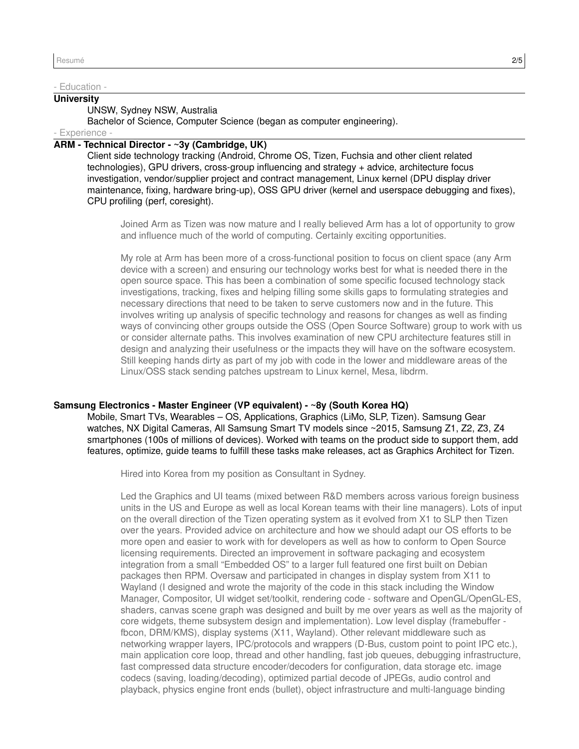#### - Education -

# **University**

UNSW, Sydney NSW, Australia

Bachelor of Science, Computer Science (began as computer engineering).

# - Experience -

# **ARM - Technical Director - ~3y (Cambridge, UK)**

Client side technology tracking (Android, Chrome OS, Tizen, Fuchsia and other client related technologies), GPU drivers, cross-group influencing and strategy + advice, architecture focus investigation, vendor/supplier project and contract management, Linux kernel (DPU display driver maintenance, fixing, hardware bring-up), OSS GPU driver (kernel and userspace debugging and fixes), CPU profiling (perf, coresight).

Joined Arm as Tizen was now mature and I really believed Arm has a lot of opportunity to grow and influence much of the world of computing. Certainly exciting opportunities.

My role at Arm has been more of a cross-functional position to focus on client space (any Arm device with a screen) and ensuring our technology works best for what is needed there in the open source space. This has been a combination of some specific focused technology stack investigations, tracking, fixes and helping filling some skills gaps to formulating strategies and necessary directions that need to be taken to serve customers now and in the future. This involves writing up analysis of specific technology and reasons for changes as well as finding ways of convincing other groups outside the OSS (Open Source Software) group to work with us or consider alternate paths. This involves examination of new CPU architecture features still in design and analyzing their usefulness or the impacts they will have on the software ecosystem. Still keeping hands dirty as part of my job with code in the lower and middleware areas of the Linux/OSS stack sending patches upstream to Linux kernel, Mesa, libdrm.

# **Samsung Electronics - Master Engineer (VP equivalent) - ~8y (South Korea HQ)**

Mobile, Smart TVs, Wearables – OS, Applications, Graphics (LiMo, SLP, Tizen). Samsung Gear watches, NX Digital Cameras, All Samsung Smart TV models since ~2015, Samsung Z1, Z2, Z3, Z4 smartphones (100s of millions of devices). Worked with teams on the product side to support them, add features, optimize, guide teams to fulfill these tasks make releases, act as Graphics Architect for Tizen.

Hired into Korea from my position as Consultant in Sydney.

Led the Graphics and UI teams (mixed between R&D members across various foreign business units in the US and Europe as well as local Korean teams with their line managers). Lots of input on the overall direction of the Tizen operating system as it evolved from X1 to SLP then Tizen over the years. Provided advice on architecture and how we should adapt our OS efforts to be more open and easier to work with for developers as well as how to conform to Open Source licensing requirements. Directed an improvement in software packaging and ecosystem integration from a small "Embedded OS" to a larger full featured one first built on Debian packages then RPM. Oversaw and participated in changes in display system from X11 to Wayland (I designed and wrote the majority of the code in this stack including the Window Manager, Compositor, UI widget set/toolkit, rendering code - software and OpenGL/OpenGL-ES, shaders, canvas scene graph was designed and built by me over years as well as the majority of core widgets, theme subsystem design and implementation). Low level display (framebuffer fbcon, DRM/KMS), display systems (X11, Wayland). Other relevant middleware such as networking wrapper layers, IPC/protocols and wrappers (D-Bus, custom point to point IPC etc.), main application core loop, thread and other handling, fast job queues, debugging infrastructure, fast compressed data structure encoder/decoders for configuration, data storage etc. image codecs (saving, loading/decoding), optimized partial decode of JPEGs, audio control and playback, physics engine front ends (bullet), object infrastructure and multi-language binding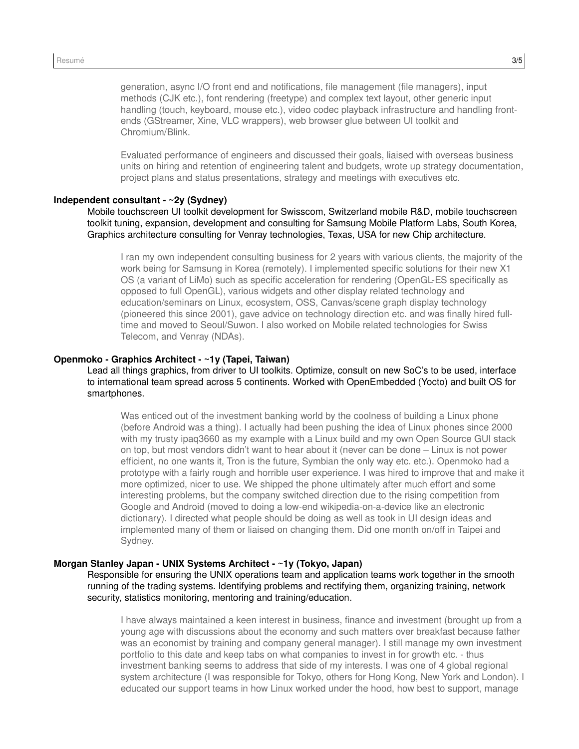generation, async I/O front end and notifications, file management (file managers), input methods (CJK etc.), font rendering (freetype) and complex text layout, other generic input handling (touch, keyboard, mouse etc.), video codec playback infrastructure and handling frontends (GStreamer, Xine, VLC wrappers), web browser glue between UI toolkit and Chromium/Blink.

Evaluated performance of engineers and discussed their goals, liaised with overseas business units on hiring and retention of engineering talent and budgets, wrote up strategy documentation, project plans and status presentations, strategy and meetings with executives etc.

#### **Independent consultant - ~2y (Sydney)**

Mobile touchscreen UI toolkit development for Swisscom, Switzerland mobile R&D, mobile touchscreen toolkit tuning, expansion, development and consulting for Samsung Mobile Platform Labs, South Korea, Graphics architecture consulting for Venray technologies, Texas, USA for new Chip architecture.

I ran my own independent consulting business for 2 years with various clients, the majority of the work being for Samsung in Korea (remotely). I implemented specific solutions for their new X1 OS (a variant of LiMo) such as specific acceleration for rendering (OpenGL-ES specifically as opposed to full OpenGL), various widgets and other display related technology and education/seminars on Linux, ecosystem, OSS, Canvas/scene graph display technology (pioneered this since 2001), gave advice on technology direction etc. and was finally hired fulltime and moved to Seoul/Suwon. I also worked on Mobile related technologies for Swiss Telecom, and Venray (NDAs).

### **Openmoko - Graphics Architect - ~1y (Tapei, Taiwan)**

Lead all things graphics, from driver to UI toolkits. Optimize, consult on new SoC's to be used, interface to international team spread across 5 continents. Worked with OpenEmbedded (Yocto) and built OS for smartphones.

Was enticed out of the investment banking world by the coolness of building a Linux phone (before Android was a thing). I actually had been pushing the idea of Linux phones since 2000 with my trusty ipaq3660 as my example with a Linux build and my own Open Source GUI stack on top, but most vendors didn't want to hear about it (never can be done – Linux is not power efficient, no one wants it, Tron is the future, Symbian the only way etc. etc.). Openmoko had a prototype with a fairly rough and horrible user experience. I was hired to improve that and make it more optimized, nicer to use. We shipped the phone ultimately after much effort and some interesting problems, but the company switched direction due to the rising competition from Google and Android (moved to doing a low-end wikipedia-on-a-device like an electronic dictionary). I directed what people should be doing as well as took in UI design ideas and implemented many of them or liaised on changing them. Did one month on/off in Taipei and Sydney.

#### **Morgan Stanley Japan - UNIX Systems Architect - ~1y (Tokyo, Japan)**

Responsible for ensuring the UNIX operations team and application teams work together in the smooth running of the trading systems. Identifying problems and rectifying them, organizing training, network security, statistics monitoring, mentoring and training/education.

I have always maintained a keen interest in business, finance and investment (brought up from a young age with discussions about the economy and such matters over breakfast because father was an economist by training and company general manager). I still manage my own investment portfolio to this date and keep tabs on what companies to invest in for growth etc. - thus investment banking seems to address that side of my interests. I was one of 4 global regional system architecture (I was responsible for Tokyo, others for Hong Kong, New York and London). I educated our support teams in how Linux worked under the hood, how best to support, manage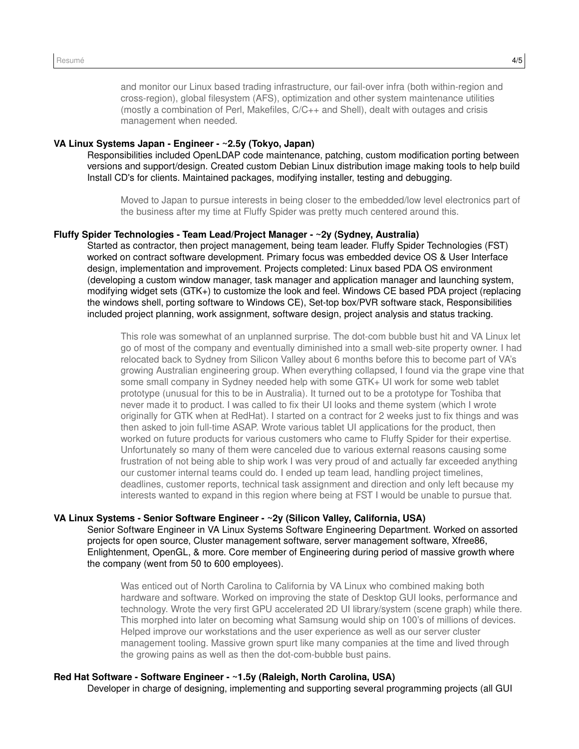and monitor our Linux based trading infrastructure, our fail-over infra (both within-region and cross-region), global filesystem (AFS), optimization and other system maintenance utilities (mostly a combination of Perl, Makefiles, C/C++ and Shell), dealt with outages and crisis management when needed.

# **VA Linux Systems Japan - Engineer - ~2.5y (Tokyo, Japan)**

Responsibilities included OpenLDAP code maintenance, patching, custom modification porting between versions and support/design. Created custom Debian Linux distribution image making tools to help build Install CD's for clients. Maintained packages, modifying installer, testing and debugging.

Moved to Japan to pursue interests in being closer to the embedded/low level electronics part of the business after my time at Fluffy Spider was pretty much centered around this.

### **Fluffy Spider Technologies - Team Lead/Project Manager - ~2y (Sydney, Australia)**

Started as contractor, then project management, being team leader. Fluffy Spider Technologies (FST) worked on contract software development. Primary focus was embedded device OS & User Interface design, implementation and improvement. Projects completed: Linux based PDA OS environment (developing a custom window manager, task manager and application manager and launching system, modifying widget sets (GTK+) to customize the look and feel. Windows CE based PDA project (replacing the windows shell, porting software to Windows CE), Set-top box/PVR software stack, Responsibilities included project planning, work assignment, software design, project analysis and status tracking.

This role was somewhat of an unplanned surprise. The dot-com bubble bust hit and VA Linux let go of most of the company and eventually diminished into a small web-site property owner. I had relocated back to Sydney from Silicon Valley about 6 months before this to become part of VA's growing Australian engineering group. When everything collapsed, I found via the grape vine that some small company in Sydney needed help with some GTK+ UI work for some web tablet prototype (unusual for this to be in Australia). It turned out to be a prototype for Toshiba that never made it to product. I was called to fix their UI looks and theme system (which I wrote originally for GTK when at RedHat). I started on a contract for 2 weeks just to fix things and was then asked to join full-time ASAP. Wrote various tablet UI applications for the product, then worked on future products for various customers who came to Fluffy Spider for their expertise. Unfortunately so many of them were canceled due to various external reasons causing some frustration of not being able to ship work I was very proud of and actually far exceeded anything our customer internal teams could do. I ended up team lead, handling project timelines, deadlines, customer reports, technical task assignment and direction and only left because my interests wanted to expand in this region where being at FST I would be unable to pursue that.

#### **VA Linux Systems - Senior Software Engineer - ~2y (Silicon Valley, California, USA)**

Senior Software Engineer in VA Linux Systems Software Engineering Department. Worked on assorted projects for open source, Cluster management software, server management software, Xfree86, Enlightenment, OpenGL, & more. Core member of Engineering during period of massive growth where the company (went from 50 to 600 employees).

Was enticed out of North Carolina to California by VA Linux who combined making both hardware and software. Worked on improving the state of Desktop GUI looks, performance and technology. Wrote the very first GPU accelerated 2D UI library/system (scene graph) while there. This morphed into later on becoming what Samsung would ship on 100's of millions of devices. Helped improve our workstations and the user experience as well as our server cluster management tooling. Massive grown spurt like many companies at the time and lived through the growing pains as well as then the dot-com-bubble bust pains.

# **Red Hat Software - Software Engineer - ~1.5y (Raleigh, North Carolina, USA)**

Developer in charge of designing, implementing and supporting several programming projects (all GUI